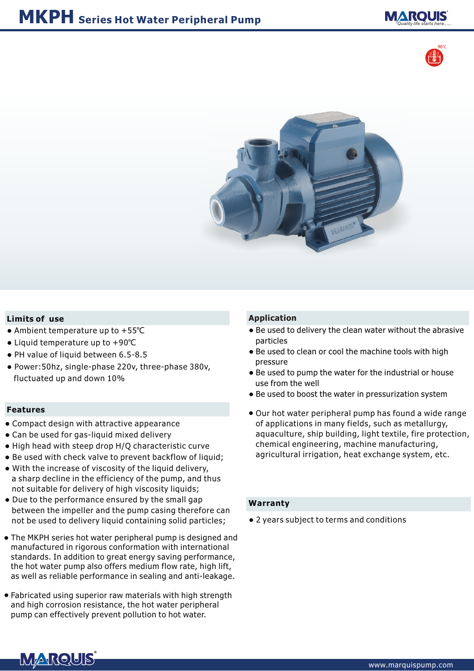





## **Limits of use**

- Ambient temperature up to +55°C
- Liquid temperature up to +90℃
- PH value of liquid between 6.5-8.5
- Power:50hz, single-phase 220v, three-phase 380v, fluctuated up and down 10%

#### **Features**

- Compact design with attractive appearance
- Can be used for gas-liquid mixed delivery
- High head with steep drop H/Q characteristic curve
- Be used with check valve to prevent backflow of liquid;
- With the increase of viscosity of the liquid delivery, a sharp decline in the efficiency of the pump, and thus not suitable for delivery of high viscosity liquids;
- Due to the performance ensured by the small gap between the impeller and the pump casing therefore can not be used to delivery liquid containing solid particles; •• 2 years subject to terms and conditions
- The MKPH series hot water peripheral pump is designed and manufactured in rigorous conformation with international standards. In addition to great energy saving performance, the hot water pump also offers medium flow rate, high lift, as well as reliable performance in sealing and anti-leakage.
- Fabricated using superior raw materials with high strength and high corrosion resistance, the hot water peripheral pump can effectively prevent pollution to hot water.

## **Application**

- Be used to delivery the clean water without the abrasive particles
- Be used to clean or cool the machine tools with high pressure
- Be used to pump the water for the industrial or house use from the well
- Be used to boost the water in pressurization system
- Our hot water peripheral pump has found a wide range of applications in many fields, such as metallurgy, aquaculture, ship building, light textile, fire protection, chemical engineering, machine manufacturing, agricultural irrigation, heat exchange system, etc.

#### **Warranty**

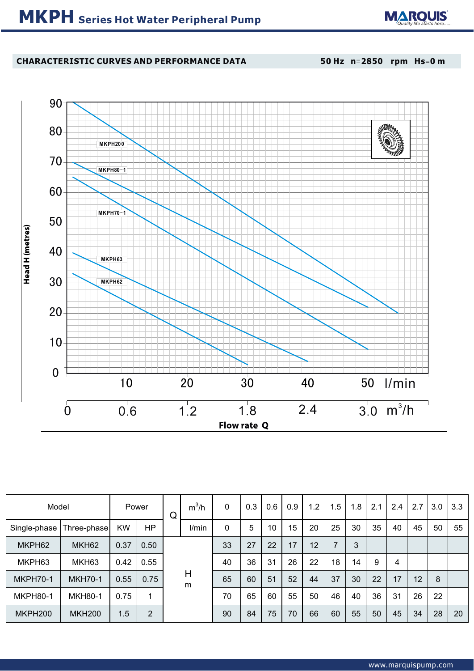

# **CHARACTERISTIC CURVES AND PERFORMANCE DATA**

**50 Hz n**=**2850 rpm Hs**=**0 m**



| Model           |                   |           | Power     | Q      | $m^3/h$ | 0  | 0.3 | 0.6             | 0.9 | 1.2 | 1.5 | 1.8 | 2.1 | 2.4 | 2.7 | 3.0 | 3.3 |
|-----------------|-------------------|-----------|-----------|--------|---------|----|-----|-----------------|-----|-----|-----|-----|-----|-----|-----|-----|-----|
| Single-phase    | Three-phase       | <b>KW</b> | <b>HP</b> |        | I/min   | 0  | 5   | 10 <sup>°</sup> | 15  | 20  | 25  | 30  | 35  | 40  | 45  | 50  | 55  |
| MKPH62          | MKH <sub>62</sub> | 0.37      | 0.50      |        |         | 33 | 27  | 22              | 17  | 12  | 7   | 3   |     |     |     |     |     |
| MKPH63          | MKH63             | 0.42      | 0.55      |        |         | 40 | 36  | 31              | 26  | 22  | 18  | 14  | 9   | 4   |     |     |     |
| <b>MKPH70-1</b> | <b>MKH70-1</b>    | 0.55      | 0.75      | Н<br>m | 65      | 60 | 51  | 52              | 44  | 37  | 30  | 22  | 17  | 12  | 8   |     |     |
| <b>MKPH80-1</b> | <b>MKH80-1</b>    | 0.75      |           |        | 70      | 65 | 60  | 55              | 50  | 46  | 40  | 36  | 31  | 26  | 22  |     |     |
| MKPH200         | <b>MKH200</b>     | 1.5       | 2         |        |         | 90 | 84  | 75              | 70  | 66  | 60  | 55  | 50  | 45  | 34  | 28  | 20  |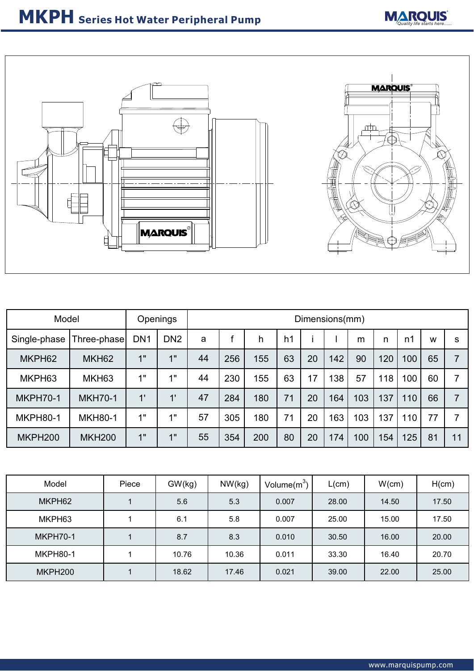



| Model           |                   | Openings        |                      | Dimensions(mm) |     |     |    |    |     |     |     |     |    |    |
|-----------------|-------------------|-----------------|----------------------|----------------|-----|-----|----|----|-----|-----|-----|-----|----|----|
| Single-phase    | Three-phase       | DN <sub>1</sub> | DN <sub>2</sub>      | a              |     | h   | h1 |    |     | m   | n   | n1  | W  | s  |
| MKPH62          | MKH <sub>62</sub> | 1"              | 1"                   | 44             | 256 | 155 | 63 | 20 | 142 | 90  | 120 | 100 | 65 |    |
| MKPH63          | MKH <sub>63</sub> | 1"              | 4 !!                 | 44             | 230 | 155 | 63 | 17 | 138 | 57  | 118 | 100 | 60 |    |
| <b>MKPH70-1</b> | <b>MKH70-1</b>    | $\mathbf{1}$    | $\ddot{\phantom{1}}$ | 47             | 284 | 180 | 71 | 20 | 164 | 103 | 137 | 110 | 66 |    |
| <b>MKPH80-1</b> | <b>MKH80-1</b>    | 1"              | 4 H                  | 57             | 305 | 180 | 71 | 20 | 163 | 103 | 137 | 110 | 77 |    |
| MKPH200         | <b>MKH200</b>     | 1"              | 1"                   | 55             | 354 | 200 | 80 | 20 | 174 | 100 | 154 | 125 | 81 | 11 |

| Model           | Piece |       | NW(kg) | Volume $(m^3)$ | _(cm) | W(cm) | H(cm) |  |
|-----------------|-------|-------|--------|----------------|-------|-------|-------|--|
| MKPH62          |       | 5.6   | 5.3    | 0.007          | 28.00 | 14.50 | 17.50 |  |
| MKPH63          |       | 6.1   | 5.8    | 0.007          | 25.00 | 15.00 | 17.50 |  |
| <b>MKPH70-1</b> |       | 8.7   | 8.3    | 0.010          | 30.50 | 16.00 | 20.00 |  |
| <b>MKPH80-1</b> |       | 10.76 | 10.36  | 0.011          | 33.30 | 16.40 | 20.70 |  |
| MKPH200         |       | 18.62 | 17.46  | 0.021          | 39.00 | 22.00 | 25.00 |  |